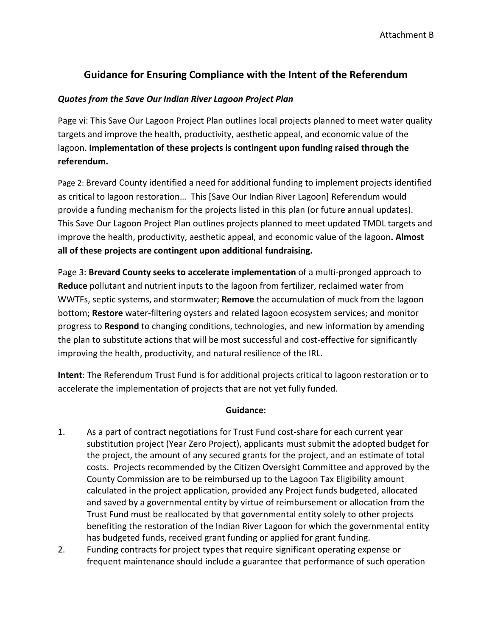## **Guidance for Ensuring Compliance with the Intent of the Referendum**

## *Quotes from the Save Our Indian River Lagoon Project Plan*

Page vi: This Save Our Lagoon Project Plan outlines local projects planned to meet water quality targets and improve the health, productivity, aesthetic appeal, and economic value of the lagoon. **Implementation of these projects is contingent upon funding raised through the referendum.** 

Page 2: Brevard County identified a need for additional funding to implement projects identified as critical to lagoon restoration… This [Save Our Indian River Lagoon] Referendum would provide a funding mechanism for the projects listed in this plan (or future annual updates). This Save Our Lagoon Project Plan outlines projects planned to meet updated TMDL targets and improve the health, productivity, aesthetic appeal, and economic value of the lagoon**. Almost all of these projects are contingent upon additional fundraising.**

Page 3: **Brevard County seeks to accelerate implementation** of a multi-pronged approach to **Reduce** pollutant and nutrient inputs to the lagoon from fertilizer, reclaimed water from WWTFs, septic systems, and stormwater; **Remove** the accumulation of muck from the lagoon bottom; **Restore** water-filtering oysters and related lagoon ecosystem services; and monitor progress to **Respond** to changing conditions, technologies, and new information by amending the plan to substitute actions that will be most successful and cost-effective for significantly improving the health, productivity, and natural resilience of the IRL.

**Intent**: The Referendum Trust Fund is for additional projects critical to lagoon restoration or to accelerate the implementation of projects that are not yet fully funded.

## **Guidance:**

- 1. As a part of contract negotiations for Trust Fund cost-share for each current year substitution project (Year Zero Project), applicants must submit the adopted budget for the project, the amount of any secured grants for the project, and an estimate of total costs. Projects recommended by the Citizen Oversight Committee and approved by the County Commission are to be reimbursed up to the Lagoon Tax Eligibility amount calculated in the project application, provided any Project funds budgeted, allocated and saved by a governmental entity by virtue of reimbursement or allocation from the Trust Fund must be reallocated by that governmental entity solely to other projects benefiting the restoration of the Indian River Lagoon for which the governmental entity has budgeted funds, received grant funding or applied for grant funding.
- 2. Funding contracts for project types that require significant operating expense or frequent maintenance should include a guarantee that performance of such operation